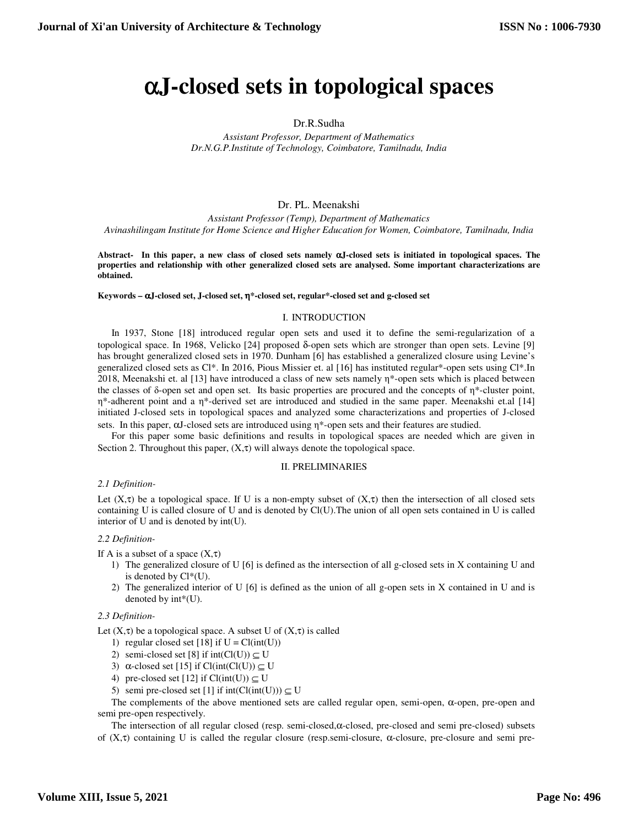# α**J-closed sets in topological spaces**

## Dr.R.Sudha

*Assistant Professor, Department of Mathematics Dr.N.G.P.Institute of Technology, Coimbatore, Tamilnadu, India* 

# Dr. PL. Meenakshi

*Assistant Professor (Temp), Department of Mathematics Avinashilingam Institute for Home Science and Higher Education for Women, Coimbatore, Tamilnadu, India*

**Abstract- In this paper, a new class of closed sets namely** α**J-closed sets is initiated in topological spaces. The properties and relationship with other generalized closed sets are analysed. Some important characterizations are obtained.** 

#### **Keywords –** α**J-closed set, J-closed set,** η**\*-closed set, regular\*-closed set and g-closed set**

#### I. INTRODUCTION

In 1937, Stone [18] introduced regular open sets and used it to define the semi-regularization of a topological space. In 1968, Velicko [24] proposed δ-open sets which are stronger than open sets. Levine [9] has brought generalized closed sets in 1970. Dunham [6] has established a generalized closure using Levine's generalized closed sets as Cl\*. In 2016, Pious Missier et. al [16] has instituted regular\*-open sets using Cl\*.In 2018, Meenakshi et. al [13] have introduced a class of new sets namely η\*-open sets which is placed between the classes of  $\delta$ -open set and open set. Its basic properties are procured and the concepts of  $\eta^*$ -cluster point, η\*-adherent point and a η\*-derived set are introduced and studied in the same paper. Meenakshi et.al [14] initiated J-closed sets in topological spaces and analyzed some characterizations and properties of J-closed sets. In this paper, αJ-closed sets are introduced using η\*-open sets and their features are studied.

For this paper some basic definitions and results in topological spaces are needed which are given in Section 2. Throughout this paper,  $(X, \tau)$  will always denote the topological space.

#### II. PRELIMINARIES

#### *2.1 Definition-*

Let  $(X,\tau)$  be a topological space. If U is a non-empty subset of  $(X,\tau)$  then the intersection of all closed sets containing U is called closure of U and is denoted by Cl(U).The union of all open sets contained in U is called interior of U and is denoted by int(U).

#### *2.2 Definition-*

If A is a subset of a space  $(X,\tau)$ 

- 1) The generalized closure of U [6] is defined as the intersection of all g-closed sets in X containing U and is denoted by Cl\*(U).
- 2) The generalized interior of U [6] is defined as the union of all g-open sets in X contained in U and is denoted by int\*(U).

#### *2.3 Definition-*

Let  $(X, \tau)$  be a topological space. A subset U of  $(X, \tau)$  is called

- 1) regular closed set [18] if  $U = Cl(int(U))$
- 2) semi-closed set [8] if  $int(Cl(U)) \subseteq U$
- 3) α-closed set [15] if Cl(int(Cl(U))  $\subseteq$  U
- 4) pre-closed set [12] if  $Cl(int(U)) \subseteq U$
- 5) semi pre-closed set [1] if  $int(Cl(int(U))) \subseteq U$

The complements of the above mentioned sets are called regular open, semi-open,  $\alpha$ -open, pre-open and semi pre-open respectively.

 The intersection of all regular closed (resp. semi-closed,α-closed, pre-closed and semi pre-closed) subsets of  $(X,\tau)$  containing U is called the regular closure (resp.semi-closure,  $\alpha$ -closure, pre-closure and semi pre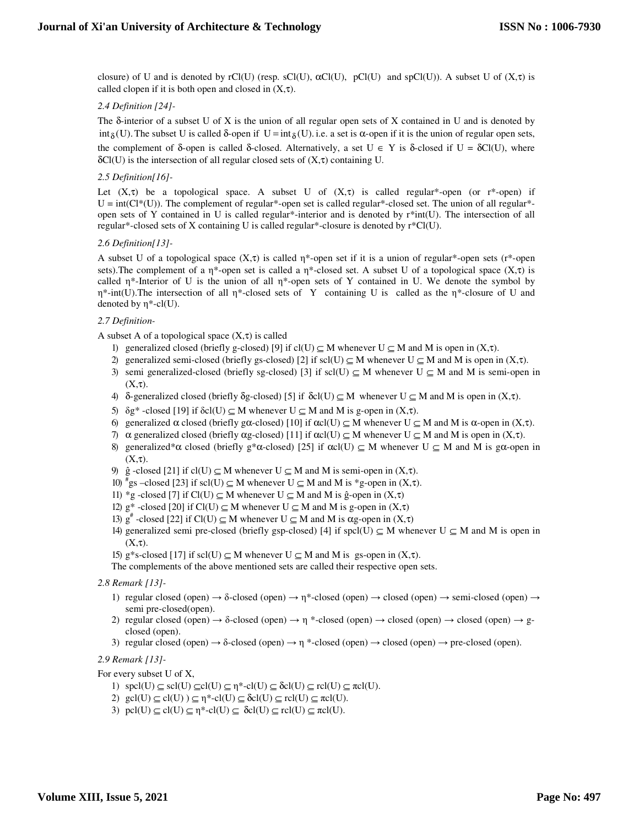closure) of U and is denoted by rCl(U) (resp. sCl(U),  $\alpha$ Cl(U),  $pCl(U)$  and spCl(U)). A subset U of  $(X,\tau)$  is called clopen if it is both open and closed in  $(X,\tau)$ .

# *2.4 Definition [24]-*

The δ-interior of a subset U of X is the union of all regular open sets of X contained in U and is denoted by int<sub>δ</sub>(U). The subset U is called δ-open if  $U = int_{\delta}(U)$ . i.e. a set is  $\alpha$ -open if it is the union of regular open sets, the complement of δ-open is called δ-closed. Alternatively, a set  $U \in Y$  is δ-closed if  $U = \delta Cl(U)$ , where  $\delta Cl(U)$  is the intersection of all regular closed sets of  $(X,\tau)$  containing U.

# *2.5 Definition[16]-*

Let  $(X,\tau)$  be a topological space. A subset U of  $(X,\tau)$  is called regular<sup>\*</sup>-open (or r<sup>\*</sup>-open) if  $U = int(Cl^*(U))$ . The complement of regular<sup>\*</sup>-open set is called regular<sup>\*</sup>-closed set. The union of all regular<sup>\*</sup>open sets of Y contained in U is called regular\*-interior and is denoted by r\*int(U). The intersection of all regular\*-closed sets of X containing U is called regular\*-closure is denoted by  $r^*Cl(U)$ .

# *2.6 Definition[13]-*

A subset U of a topological space  $(X,\tau)$  is called  $\eta^*$ -open set if it is a union of regular<sup>\*</sup>-open sets (r<sup>\*</sup>-open sets). The complement of a η\*-open set is called a  $\eta$ \*-closed set. A subset U of a topological space (X, $\tau$ ) is called  $\eta^*$ -Interior of U is the union of all  $\eta^*$ -open sets of Y contained in U. We denote the symbol by η\*-int(U).The intersection of all η\*-closed sets of Y containing U is called as the η\*-closure of U and denoted by  $\eta^*$ -cl(U).

# *2.7 Definition-*

A subset A of a topological space  $(X, \tau)$  is called

- 1) generalized closed (briefly g-closed) [9] if cl(U)  $\subseteq$  M whenever U  $\subseteq$  M and M is open in (X,τ).
- 2) generalized semi-closed (briefly gs-closed) [2] if scl(U)  $\subseteq$  M whenever U  $\subseteq$  M and M is open in (X,τ).
- 3) semi generalized-closed (briefly sg-closed) [3] if scl(U)  $\subseteq M$  whenever U  $\subseteq M$  and M is semi-open in  $(X,\tau)$ .
- 4) δ-generalized closed (briefly δg-closed) [5] if  $\delta cl(U) \subseteq M$  whenever  $U \subseteq M$  and M is open in  $(X, \tau)$ .
- 5)  $\delta g^*$  -closed [19] if  $\delta$ cl(U)  $\subseteq M$  whenever U  $\subseteq M$  and M is g-open in (X,τ).
- 6) generalized  $\alpha$  closed (briefly gα-closed) [10] if  $\alpha c l(U) \subseteq M$  whenever  $U \subseteq M$  and M is α-open in  $(X, \tau)$ .
- 7)  $\alpha$  generalized closed (briefly αg-closed) [11] if  $\alpha$ cl(U)  $\subseteq M$  whenever U  $\subseteq M$  and M is open in (X,τ).
- 8) generalized\*α closed (briefly g\*α-closed) [25] if  $\alpha$ cl(U)  $\subseteq M$  whenever U  $\subseteq M$  and M is gα-open in  $(X,\tau)$ .
- 9)  $\hat{g}$  -closed [21] if cl(U)  $\subseteq M$  whenever U  $\subseteq M$  and M is semi-open in  $(X,\tau)$ .
- 10)  $*_{gs}$  –closed [23] if scl(U)  $\subseteq M$  whenever U  $\subseteq M$  and M is  $*_{g}$ -open in  $(X, \tau)$ .
- 11) \*g -closed [7] if  $Cl(U) \subseteq M$  whenever  $U \subseteq M$  and M is ĝ-open in  $(X, \tau)$
- 12)  $g^*$  -closed [20] if Cl(U)  $\subseteq M$  whenever U  $\subseteq M$  and M is g-open in  $(X,\tau)$
- 13)  $g^*$  -closed [22] if Cl(U) ⊆ M whenever U ⊆ M and M is αg-open in (X,τ)
- 14) generalized semi pre-closed (briefly gsp-closed) [4] if spcl(U)  $\subseteq M$  whenever U  $\subseteq M$  and M is open in  $(X,\tau)$ .
- 15) g\*s-closed [17] if scl(U)  $\subseteq M$  whenever U  $\subseteq M$  and M is gs-open in  $(X,\tau)$ .
- The complements of the above mentioned sets are called their respective open sets.

# *2.8 Remark [13]-*

- 1) regular closed (open)  $\rightarrow \delta$ -closed (open)  $\rightarrow \eta^*$ -closed (open)  $\rightarrow$  closed (open)  $\rightarrow$  semi-closed (open)  $\rightarrow$ semi pre-closed(open).
- 2) regular closed (open)  $\rightarrow \delta$ -closed (open)  $\rightarrow \eta$  \*-closed (open)  $\rightarrow$  closed (open)  $\rightarrow$  gclosed (open).
- 3) regular closed (open) → δ-closed (open) → η \*-closed (open) → closed (open) → pre-closed (open).

# *2.9 Remark [13]-*

For every subset U of X,

- 1)  $spcl(U) \subseteq scl(U) \subseteq cl(U) \subseteq \eta^*$ -cl $(U) \subseteq \delta cl(U) \subseteq rel(U) \subseteq \pi cl(U)$ .
- 2)  $\text{gcl}(U) \subseteq \text{cl}(U) \subseteq \eta^*$ -cl $(U) \subseteq \text{dcl}(U) \subseteq \text{rcl}(U) \subseteq \text{rcl}(U)$ .
- 3) pcl(U)  $\subseteq$  cl(U)  $\subseteq$  n<sup>\*</sup>-cl(U)  $\subseteq$  δcl(U)  $\subseteq$  rcl(U)  $\subseteq$  πcl(U).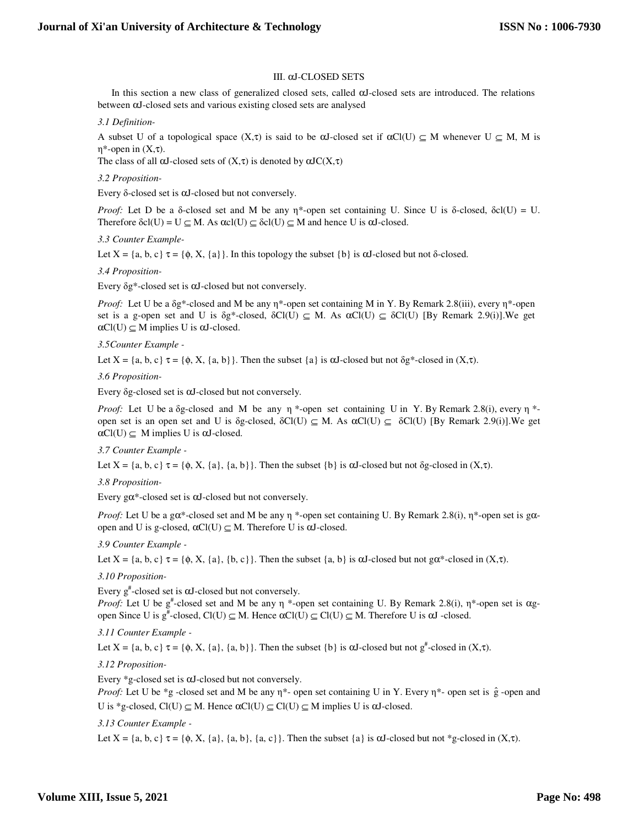## III. αJ-CLOSED SETS

 In this section a new class of generalized closed sets, called αJ-closed sets are introduced. The relations between αJ-closed sets and various existing closed sets are analysed

*3.1 Definition-*

A subset U of a topological space  $(X,\tau)$  is said to be  $\alpha$ J-closed set if  $\alpha$ Cl(U)  $\subseteq M$  whenever U  $\subseteq M$ , M is η\*-open in (X,τ).

The class of all  $\alpha J$ -closed sets of  $(X,\tau)$  is denoted by  $\alpha J C(X,\tau)$ 

*3.2 Proposition-*

Every δ-closed set is αJ-closed but not conversely.

*Proof:* Let D be a δ-closed set and M be any  $\eta^*$ -open set containing U. Since U is δ-closed, δcl(U) = U. Therefore  $\delta cl(U) = U \subseteq M$ . As  $\alpha cl(U) \subseteq \delta cl(U) \subseteq M$  and hence U is  $\alpha J$ -closed.

*3.3 Counter Example-*

Let  $X = \{a, b, c\} \tau = \{\phi, X, \{a\}\}\$ . In this topology the subset  $\{b\}$  is  $\alpha J$ -closed but not  $\delta$ -closed.

*3.4 Proposition-*

Every δg\*-closed set is αJ-closed but not conversely.

*Proof:* Let U be a δg\*-closed and M be any η\*-open set containing M in Y. By Remark 2.8(iii), every η\*-open set is a g-open set and U is  $\delta g^*$ -closed,  $\delta Cl(U) \subseteq M$ . As  $\alpha Cl(U) \subseteq \delta Cl(U)$  [By Remark 2.9(i)]. We get  $\alpha$ Cl(U)  $\subseteq$  M implies U is  $\alpha$ J-closed.

*3.5Counter Example -* 

Let  $X = \{a, b, c\} \tau = \{\phi, X, \{a, b\}\}\.$  Then the subset  $\{a\}$  is  $\alpha J$ -closed but not  $\delta g^*$ -closed in  $(X, \tau)$ .

*3.6 Proposition-*

Every δg-closed set is αJ-closed but not conversely.

*Proof:* Let U be a δg-closed and M be any η \*-open set containing U in Y. By Remark 2.8(i), every η \*open set is an open set and U is δg-closed,  $\delta Cl(U) \subseteq M$ . As  $\alpha Cl(U) \subseteq \delta Cl(U)$  [By Remark 2.9(i)]. We get  $\alpha$ Cl(U)  $\subseteq$  M implies U is  $\alpha$ J-closed.

*3.7 Counter Example -* 

Let  $X = \{a, b, c\} \tau = \{\phi, X, \{a\}, \{a, b\}\}\.$  Then the subset  $\{b\}$  is  $\alpha J$ -closed but not  $\delta g$ -closed in  $(X, \tau)$ .

*3.8 Proposition-*

Every  $g\alpha^*$ -closed set is  $\alpha$ J-closed but not conversely.

*Proof:* Let U be a gα\*-closed set and M be any η \*-open set containing U. By Remark 2.8(i), η \*-open set is gαopen and U is g-closed,  $αCl(U) \subseteq M$ . Therefore U is  $αJ$ -closed.

*3.9 Counter Example -* 

Let  $X = \{a, b, c\} \tau = \{\phi, X, \{a\}, \{b, c\}\}\.$  Then the subset  $\{a, b\}$  is  $\alpha J$ -closed but not  $g\alpha^*$ -closed in  $(X, \tau)$ .

# *3.10 Proposition-*

Every  $g^*$ -closed set is  $\alpha J$ -closed but not conversely.

*Proof:* Let U be g<sup>#</sup>-closed set and M be any η \*-open set containing U. By Remark 2.8(i), η\*-open set is αgopen Since U is  $g^*$ -closed, Cl(U)  $\subseteq M$ . Hence  $\alpha$ Cl(U)  $\subseteq$  Cl(U)  $\subseteq M$ . Therefore U is  $\alpha$ J -closed.

*3.11 Counter Example -* 

Let  $X = \{a, b, c\} \tau = \{\phi, X, \{a\}, \{a, b\}\}\$ . Then the subset  $\{b\}$  is  $\alpha J$ -closed but not  $g^*$ -closed in  $(X, \tau)$ .

# *3.12 Proposition-*

Every \*g-closed set is αJ-closed but not conversely.

*Proof:* Let U be \*g -closed set and M be any  $\eta^*$ - open set containing U in Y. Every  $\eta^*$ - open set is  $\hat{g}$  -open and U is \*g-closed,  $Cl(U) \subseteq M$ . Hence  $\alpha Cl(U) \subseteq Cl(U) \subseteq M$  implies U is  $\alpha J$ -closed.

#### *3.13 Counter Example -*

Let  $X = \{a, b, c\} \tau = \{\phi, X, \{a\}, \{a, b\}, \{a, c\}\}\$ . Then the subset  $\{a\}$  is  $\alpha J$ -closed but not \*g-closed in  $(X, \tau)$ .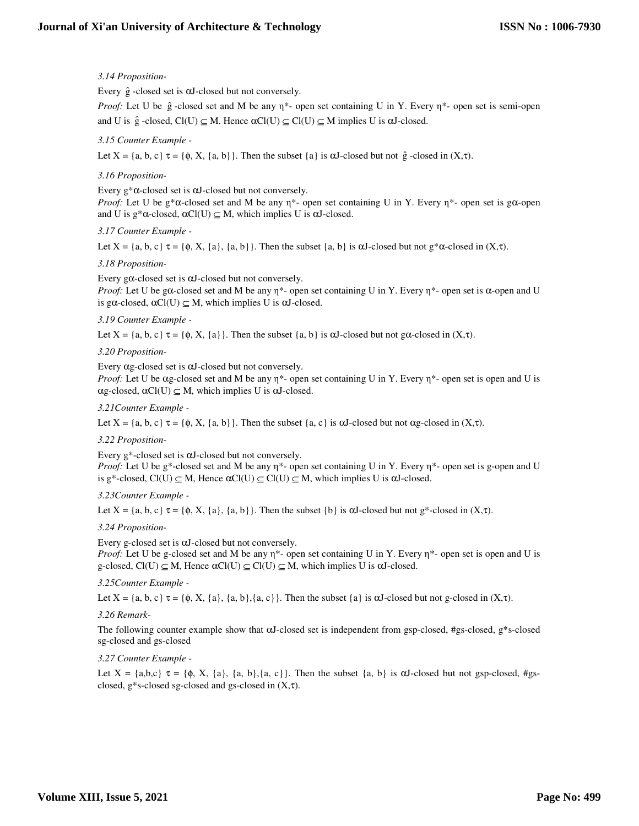# *3.14 Proposition-*

Every  $\hat{g}$  -closed set is  $\alpha J$ -closed but not conversely.

*Proof:* Let U be  $\hat{g}$  -closed set and M be any  $\eta^*$ - open set containing U in Y. Every  $\eta^*$ - open set is semi-open and U is  $\hat{g}$  -closed,  $Cl(U) \subseteq M$ . Hence  $\alpha Cl(U) \subseteq Cl(U) \subseteq M$  implies U is  $\alpha J$ -closed.

# *3.15 Counter Example -*

Let  $X = \{a, b, c\} \tau = \{\phi, X, \{a, b\}\}\.$  Then the subset  $\{a\}$  is  $\alpha J$ -closed but not  $\hat{g}$ -closed in  $(X, \tau)$ .

# *3.16 Proposition-*

Every  $g^*\alpha$ -closed set is  $\alpha$ J-closed but not conversely.

*Proof:* Let U be g\* $\alpha$ -closed set and M be any  $\eta^*$ - open set containing U in Y. Every  $\eta^*$ - open set is g $\alpha$ -open and U is  $g^*\alpha$ -closed,  $\alpha Cl(U) \subseteq M$ , which implies U is  $\alpha J$ -closed.

## *3.17 Counter Example -*

Let  $X = \{a, b, c\} \tau = \{\phi, X, \{a\}, \{a, b\}\}\.$  Then the subset  $\{a, b\}$  is  $\alpha J$ -closed but not  $g^*\alpha$ -closed in  $(X, \tau)$ .

## *3.18 Proposition-*

Every g $\alpha$ -closed set is  $\alpha$ J-closed but not conversely.

*Proof:* Let U be gα-closed set and M be any  $\eta^*$ - open set containing U in Y. Every  $\eta^*$ - open set is  $\alpha$ -open and U is gα-closed,  $αCl(U) \subseteq M$ , which implies U is  $αJ$ -closed.

## *3.19 Counter Example -*

Let  $X = \{a, b, c\} \tau = \{\phi, X, \{a\}\}\.$  Then the subset  $\{a, b\}$  is  $\alpha J$ -closed but not g $\alpha$ -closed in  $(X, \tau)$ .

## *3.20 Proposition-*

Every αg-closed set is αJ-closed but not conversely.

*Proof:* Let U be αg-closed set and M be any η\*- open set containing U in Y. Every η\*- open set is open and U is  $\alpha$ g-closed,  $\alpha$ Cl(U)  $\subseteq$  M, which implies U is  $\alpha$ J-closed.

## *3.21Counter Example -*

Let  $X = \{a, b, c\}$   $\tau = \{\phi, X, \{a, b\}\}\$ . Then the subset  $\{a, c\}$  is  $\alpha J$ -closed but not  $\alpha g$ -closed in  $(X, \tau)$ .

#### *3.22 Proposition-*

Every g\*-closed set is αJ-closed but not conversely.

*Proof:* Let U be g\*-closed set and M be any η\*- open set containing U in Y. Every η\*- open set is g-open and U is g\*-closed,  $Cl(U) \subseteq M$ , Hence  $\alpha Cl(U) \subseteq Cl(U) \subseteq M$ , which implies U is  $\alpha J$ -closed.

*3.23Counter Example -* 

Let  $X = \{a, b, c\} \tau = \{\phi, X, \{a\}, \{a, b\}\}\.$  Then the subset  $\{b\}$  is  $\alpha J$ -closed but not  $g^*$ -closed in  $(X, \tau)$ .

#### *3.24 Proposition-*

Every g-closed set is αJ-closed but not conversely.

*Proof:* Let U be g-closed set and M be any  $η^*$ - open set containing U in Y. Every  $η^*$ - open set is open and U is g-closed,  $Cl(U) \subseteq M$ , Hence  $\alpha Cl(U) \subseteq Cl(U) \subseteq M$ , which implies U is  $\alpha J$ -closed.

#### *3.25Counter Example -*

Let  $X = \{a, b, c\}$   $\tau = \{\phi, X, \{a\}, \{a, b\}, \{a, c\}\}\$ . Then the subset  $\{a\}$  is  $\alpha J$ -closed but not g-closed in  $(X, \tau)$ .

# *3.26 Remark-*

The following counter example show that αJ-closed set is independent from gsp-closed, #gs-closed, g\*s-closed sg-closed and gs-closed

#### *3.27 Counter Example -*

Let  $X = \{a,b,c\}$   $\tau = \{\phi, X, \{a\}, \{a, b\}, \{a, c\}\}\.$  Then the subset  $\{a, b\}$  is  $\alpha J$ -closed but not gsp-closed, #gsclosed, g\*s-closed sg-closed and gs-closed in  $(X,\tau)$ .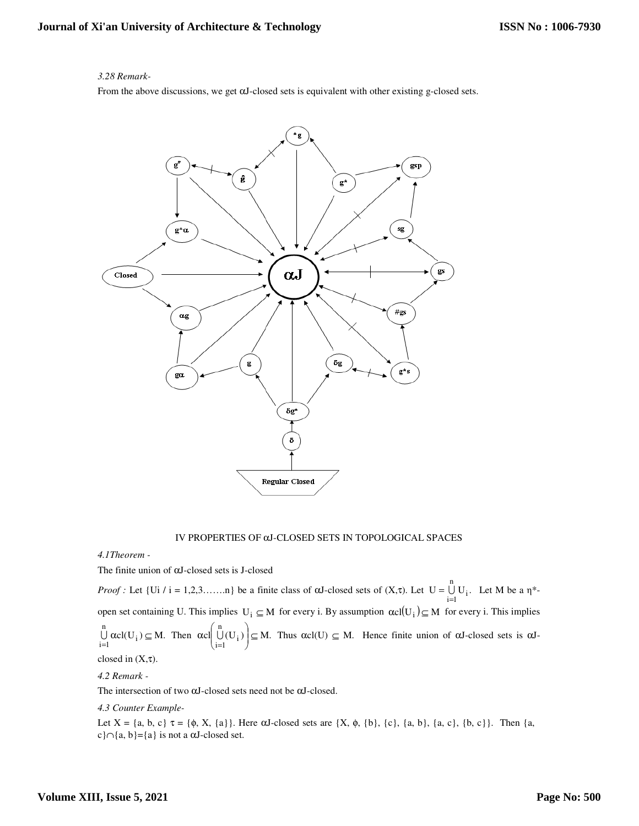# *3.28 Remark-*

From the above discussions, we get αJ-closed sets is equivalent with other existing g-closed sets.



#### IV PROPERTIES OF αJ-CLOSED SETS IN TOPOLOGICAL SPACES

#### *4.1Theorem -*

The finite union of αJ-closed sets is J-closed

*Proof :* Let  $\{Ui / i = 1, 2, 3, \dots, n \}$  be a finite class of  $\alpha J$ -closed sets of  $(X, \tau)$ . Let  $U = \bigcup U_i$ .  $=\bigcup_{i=1}^{n}$  U<sub>i</sub>. Let M be a  $\eta^*$ i=1 open set containing U. This implies  $U_i \subseteq M$  for every i. By assumption  $\alpha cl(U_i) \subseteq M$  for every i. This implies  $cl(U_i) \subseteq M$ . n  $i = 1$  $\alpha$ cl $(U_i) \subseteq$  $\bigcup_{i=1} \alpha c l(U_i) \subseteq M$ . Then  $\alpha c l \left( \bigcup_{i=1} U_i \right) \subseteq M$ . n  $\bigcup_{i=1}^{n}$  (U<sub>i</sub>)  $\Big\vert \subseteq$ J  $\backslash$  $\overline{\phantom{a}}$ ∖ ſ α =  $\bigcup(U_i)\bigsubseteq M$ . Thus  $\alpha c l(U) \subseteq M$ . Hence finite union of  $\alpha J$ -closed sets is  $\alpha J$ closed in  $(X,\tau)$ .

#### *4.2 Remark -*

The intersection of two αJ-closed sets need not be αJ-closed.

*4.3 Counter Example-*

Let  $X = \{a, b, c\}$   $\tau = \{\phi, X, \{a\}\}\.$  Here  $\alpha J$ -closed sets are  $\{X, \phi, \{b\}, \{c\}, \{a, b\}, \{a, c\}, \{b, c\}\}.$  Then  $\{a, \{c\}, \{d, d\}\}\.$ c}∩{a, b}={a} is not a  $\alpha$ J-closed set.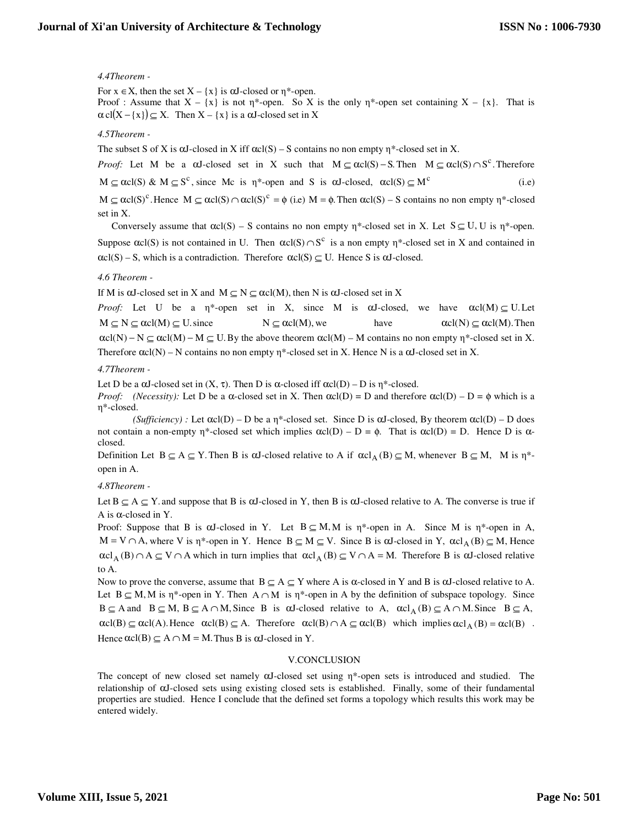# *4.4Theorem -*

For  $x \in X$ , then the set  $X - \{x\}$  is  $\alpha J$ -closed or  $\eta^*$ -open. Proof : Assume that  $X - \{x\}$  is not  $\eta^*$ -open. So X is the only  $\eta^*$ -open set containing  $X - \{x\}$ . That is  $\alpha$  cl(X – {x})  $\subseteq$  X. Then X – {x} is a  $\alpha$ J-closed set in X

## *4.5Theorem -*

The subset S of X is  $\alpha$ J-closed in X iff  $\alpha cI(S)$  – S contains no non empty  $\eta^*$ -closed set in X.

*Proof:* Let M be a  $\alpha J$ -closed set in X such that  $M \subseteq \alpha cl(S) - S$ . Then  $M \subseteq \alpha cl(S) \cap S^c$ . Therefore

 $M \subseteq \alpha cl(S) \& M \subseteq S^c$ , since Mc is  $\eta^*$ -open and S is  $\alpha J$ -closed,  $\alpha cl(S) \subseteq M^c$  (i.e)

 $M \subseteq \alpha cl(S)^c$ . Hence  $M \subseteq \alpha cl(S) \cap \alpha cl(S)^c = \emptyset$  (i.e)  $M = \emptyset$ . Then  $\alpha cl(S) - S$  contains no non empty  $\eta^*$ -closed set in X.

Conversely assume that  $\alpha cI(S) - S$  contains no non empty  $\eta^*$ -closed set in X. Let  $S \subseteq U, U$  is  $\eta^*$ -open. Suppose  $\alpha c l(S)$  is not contained in U. Then  $\alpha c l(S) \cap S^c$  is a non empty  $\eta^*$ -closed set in X and contained in  $\alpha cI(S) - S$ , which is a contradiction. Therefore  $\alpha cI(S) \subseteq U$ . Hence S is  $\alpha J$ -closed.

# *4.6 Theorem -*

If M is  $\alpha J$ -closed set in X and M  $\subseteq N \subseteq \alpha cl(M)$ , then N is  $\alpha J$ -closed set in X

*Proof:* Let U be a η<sup>\*</sup>-open set in X, since M is  $\alpha$ J-closed, we have  $\alpha c l(M) \subseteq U$ . Let  $M \subset N \subset \alpha cl(M) \subset U$  since  $N \subset \alpha cl(M)$ , we have  $\alpha cl(N) \subset \alpha cl(M)$ . Then  $\alpha cI(N) - N \subseteq \alpha cI(M) - M \subseteq U$ . By the above theorem  $\alpha cI(M) - M$  contains no non empty  $\eta^*$ -closed set in X. Therefore  $\alpha cI(N) - N$  contains no non empty  $n^*$ -closed set in X. Hence N is a  $\alpha J$ -closed set in X.

## *4.7Theorem -*

Let D be a  $\alpha$ J-closed set in  $(X, \tau)$ . Then D is  $\alpha$ -closed iff  $\alpha$ cl $(D)$  – D is  $\eta^*$ -closed.

*Proof: (Necessity):* Let D be a  $\alpha$ -closed set in X. Then  $\alpha cI(D) = D$  and therefore  $\alpha cI(D) - D = \phi$  which is a η\*-closed.

*(Sufficiency)*: Let  $\alpha cI(D) - D$  be a  $\eta^*$ -closed set. Since D is  $\alpha J$ -closed, By theorem  $\alpha cI(D) - D$  does not contain a non-empty η\*-closed set which implies  $\alpha cI(D) - D = \phi$ . That is  $\alpha cI(D) = D$ . Hence D is αclosed.

Definition Let  $B \subseteq A \subseteq Y$ . Then B is  $\alpha J$ -closed relative to A if  $\alpha cl_A(B) \subseteq M$ , whenever  $B \subseteq M$ , M is  $\eta^*$ open in A.

*4.8Theorem -* 

Let  $B \subseteq A \subseteq Y$  and suppose that B is  $\alpha J$ -closed in Y, then B is  $\alpha J$ -closed relative to A. The converse is true if A is α-closed in Y.

Proof: Suppose that B is  $\alpha$ J-closed in Y. Let  $B \subseteq M, M$  is  $\eta^*$ -open in A. Since M is  $\eta^*$ -open in A,  $M = V \cap A$ , where V is  $\eta^*$ -open in Y. Hence  $B \subseteq M \subseteq V$ . Since B is  $\alpha J$ -closed in Y,  $\alpha c I_A(B) \subseteq M$ , Hence  $\alpha c l_A(B) \cap A \subseteq V \cap A$  which in turn implies that  $\alpha c l_A(B) \subseteq V \cap A = M$ . Therefore B is  $\alpha J$ -closed relative to A.

Now to prove the converse, assume that  $B \subseteq A \subseteq Y$  where A is  $\alpha$ -closed in Y and B is  $\alpha$ J-closed relative to A. Let  $B \subseteq M$ , M is  $\eta^*$ -open in Y. Then  $A \cap M$  is  $\eta^*$ -open in A by the definition of subspace topology. Since  $B \subseteq A$  and  $B \subseteq M$ ,  $B \subseteq A \cap M$ , Since B is  $\alpha J$ -closed relative to A,  $\alpha c l_A (B) \subseteq A \cap M$ . Since  $B \subseteq A$ ,  $\alpha c l(B) \subseteq \alpha c l(A)$ . Hence  $\alpha c l(B) \subseteq A$ . Therefore  $\alpha c l(B) \cap A \subseteq \alpha c l(B)$  which implies  $\alpha c l_A(B) = \alpha c l(B)$ . Hence  $\alpha c l(B) \subseteq A \cap M = M$ . Thus B is  $\alpha J$ -closed in Y.

#### V.CONCLUSION

The concept of new closed set namely αJ-closed set using η\*-open sets is introduced and studied. The relationship of αJ-closed sets using existing closed sets is established. Finally, some of their fundamental properties are studied. Hence I conclude that the defined set forms a topology which results this work may be entered widely.